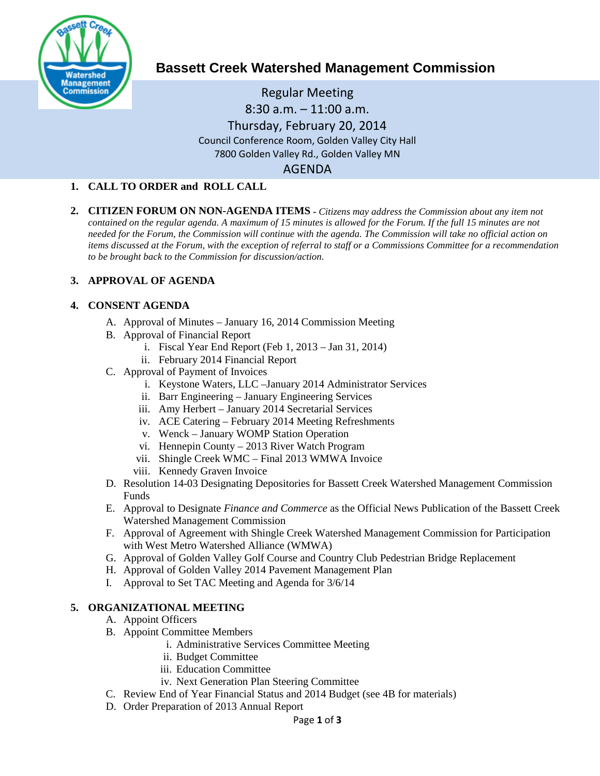

# **Bassett Creek Watershed Management Commission**

# Regular Meeting 8:30 a.m. – 11:00 a.m. Thursday, February 20, 2014 Council Conference Room, Golden Valley City Hall 7800 Golden Valley Rd., Golden Valley MN AGENDA

## **1. CALL TO ORDER and ROLL CALL**

**2. CITIZEN FORUM ON NON-AGENDA ITEMS -** *Citizens may address the Commission about any item not contained on the regular agenda. A maximum of 15 minutes is allowed for the Forum. If the full 15 minutes are not needed for the Forum, the Commission will continue with the agenda. The Commission will take no official action on items discussed at the Forum, with the exception of referral to staff or a Commissions Committee for a recommendation to be brought back to the Commission for discussion/action.*

## **3. APPROVAL OF AGENDA**

#### **4. CONSENT AGENDA**

- A. Approval of Minutes January 16, 2014 Commission Meeting
- B. Approval of Financial Report
	- i. Fiscal Year End Report (Feb 1, 2013 Jan 31, 2014)
	- ii. February 2014 Financial Report
- C. Approval of Payment of Invoices
	- i. Keystone Waters, LLC –January 2014 Administrator Services
	- ii. Barr Engineering January Engineering Services
	- iii. Amy Herbert January 2014 Secretarial Services
	- iv. ACE Catering February 2014 Meeting Refreshments
	- v. Wenck January WOMP Station Operation
	- vi. Hennepin County 2013 River Watch Program
	- vii. Shingle Creek WMC Final 2013 WMWA Invoice
	- viii. Kennedy Graven Invoice
- D. Resolution 14-03 Designating Depositories for Bassett Creek Watershed Management Commission Funds
- E. Approval to Designate *Finance and Commerce* as the Official News Publication of the Bassett Creek Watershed Management Commission
- F. Approval of Agreement with Shingle Creek Watershed Management Commission for Participation with West Metro Watershed Alliance (WMWA)
- G. Approval of Golden Valley Golf Course and Country Club Pedestrian Bridge Replacement
- H. Approval of Golden Valley 2014 Pavement Management Plan
- I. Approval to Set TAC Meeting and Agenda for 3/6/14

#### **5. ORGANIZATIONAL MEETING**

- A. Appoint Officers
- B. Appoint Committee Members
	- i. Administrative Services Committee Meeting
	- ii. Budget Committee
	- iii. Education Committee
	- iv. Next Generation Plan Steering Committee
- C. Review End of Year Financial Status and 2014 Budget (see 4B for materials)
- D. Order Preparation of 2013 Annual Report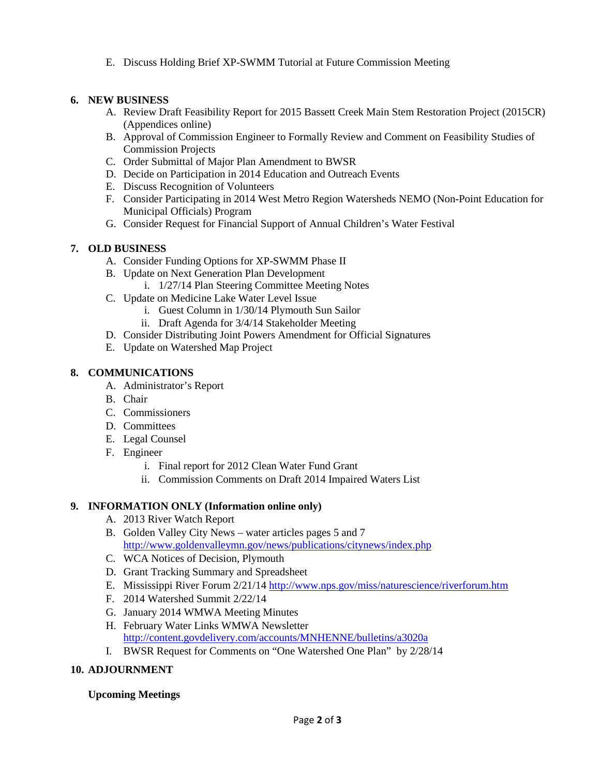E. Discuss Holding Brief XP-SWMM Tutorial at Future Commission Meeting

## **6. NEW BUSINESS**

- A. Review Draft Feasibility Report for 2015 Bassett Creek Main Stem Restoration Project (2015CR) (Appendices online)
- B. Approval of Commission Engineer to Formally Review and Comment on Feasibility Studies of Commission Projects
- C. Order Submittal of Major Plan Amendment to BWSR
- D. Decide on Participation in 2014 Education and Outreach Events
- E. Discuss Recognition of Volunteers
- F. Consider Participating in 2014 West Metro Region Watersheds NEMO (Non-Point Education for Municipal Officials) Program
- G. Consider Request for Financial Support of Annual Children's Water Festival

## **7. OLD BUSINESS**

- A. Consider Funding Options for XP-SWMM Phase II
- B. Update on Next Generation Plan Development
	- i. 1/27/14 Plan Steering Committee Meeting Notes
- C. Update on Medicine Lake Water Level Issue
	- i. Guest Column in 1/30/14 Plymouth Sun Sailor
	- ii. Draft Agenda for 3/4/14 Stakeholder Meeting
- D. Consider Distributing Joint Powers Amendment for Official Signatures
- E. Update on Watershed Map Project

## **8. COMMUNICATIONS**

- A. Administrator's Report
- B. Chair
- C. Commissioners
- D. Committees
- E. Legal Counsel
- F. Engineer
	- i. Final report for 2012 Clean Water Fund Grant
	- ii. Commission Comments on Draft 2014 Impaired Waters List

#### **9. INFORMATION ONLY (Information online only)**

- A. 2013 River Watch Report
- B. Golden Valley City News water articles pages 5 and 7 <http://www.goldenvalleymn.gov/news/publications/citynews/index.php>
- C. WCA Notices of Decision, Plymouth
- D. Grant Tracking Summary and Spreadsheet
- E. Mississippi River Forum 2/21/14 <http://www.nps.gov/miss/naturescience/riverforum.htm>
- F. 2014 Watershed Summit 2/22/14
- G. January 2014 WMWA Meeting Minutes
- H. February Water Links WMWA Newsletter <http://content.govdelivery.com/accounts/MNHENNE/bulletins/a3020a>
- I. BWSR Request for Comments on "One Watershed One Plan" by 2/28/14

#### **10. ADJOURNMENT**

#### **Upcoming Meetings**